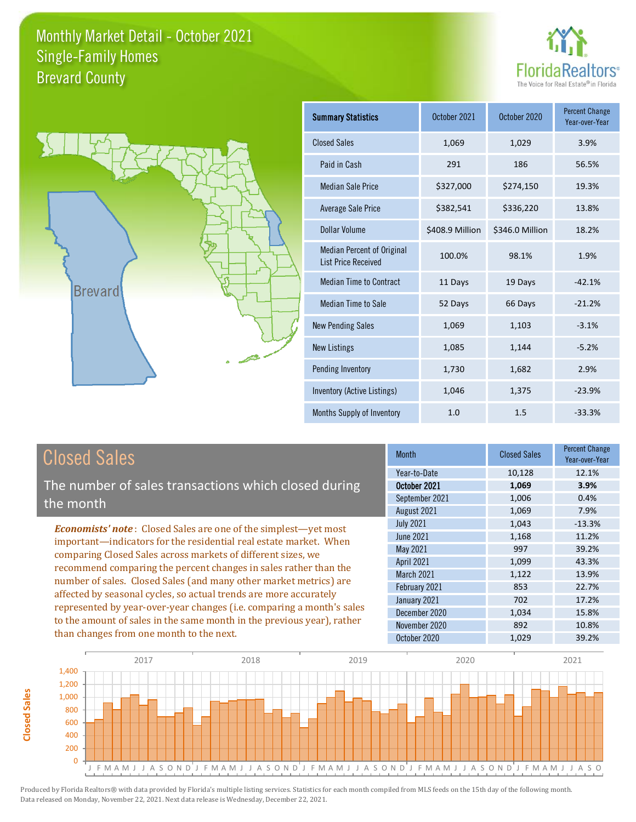



| <b>Summary Statistics</b>                                       | October 2021    | October 2020    | <b>Percent Change</b><br>Year-over-Year |
|-----------------------------------------------------------------|-----------------|-----------------|-----------------------------------------|
| <b>Closed Sales</b>                                             | 1,069           | 1,029           | 3.9%                                    |
| Paid in Cash                                                    | 291             | 186             | 56.5%                                   |
| <b>Median Sale Price</b>                                        | \$327,000       | \$274,150       | 19.3%                                   |
| Average Sale Price                                              | \$382,541       | \$336,220       | 13.8%                                   |
| Dollar Volume                                                   | \$408.9 Million | \$346.0 Million | 18.2%                                   |
| <b>Median Percent of Original</b><br><b>List Price Received</b> | 100.0%          | 98.1%           | 1.9%                                    |
| <b>Median Time to Contract</b>                                  | 11 Days         | 19 Days         | $-42.1%$                                |
| <b>Median Time to Sale</b>                                      | 52 Days         | 66 Days         | $-21.2%$                                |
| <b>New Pending Sales</b>                                        | 1,069           | 1,103           | $-3.1%$                                 |
| <b>New Listings</b>                                             | 1,085           | 1,144           | $-5.2%$                                 |
| Pending Inventory                                               | 1,730           | 1,682           | 2.9%                                    |
| Inventory (Active Listings)                                     | 1,046           | 1,375           | $-23.9%$                                |
| Months Supply of Inventory                                      | 1.0             | 1.5             | $-33.3%$                                |

# Closed Sales

The number of sales transactions which closed during the month

*Economists' note* : Closed Sales are one of the simplest—yet most important—indicators for the residential real estate market. When comparing Closed Sales across markets of different sizes, we recommend comparing the percent changes in sales rather than the number of sales. Closed Sales (and many other market metrics) are affected by seasonal cycles, so actual trends are more accurately represented by year-over-year changes (i.e. comparing a month's sales to the amount of sales in the same month in the previous year), rather than changes from one month to the next.

| <b>Month</b>     | <b>Closed Sales</b> | <b>Percent Change</b><br>Year-over-Year |
|------------------|---------------------|-----------------------------------------|
| Year-to-Date     | 10,128              | 12.1%                                   |
| October 2021     | 1,069               | 3.9%                                    |
| September 2021   | 1,006               | 0.4%                                    |
| August 2021      | 1,069               | 7.9%                                    |
| <b>July 2021</b> | 1,043               | $-13.3%$                                |
| June 2021        | 1,168               | 11.2%                                   |
| May 2021         | 997                 | 39.2%                                   |
| April 2021       | 1,099               | 43.3%                                   |
| March 2021       | 1,122               | 13.9%                                   |
| February 2021    | 853                 | 22.7%                                   |
| January 2021     | 702                 | 17.2%                                   |
| December 2020    | 1,034               | 15.8%                                   |
| November 2020    | 892                 | 10.8%                                   |
| October 2020     | 1,029               | 39.2%                                   |

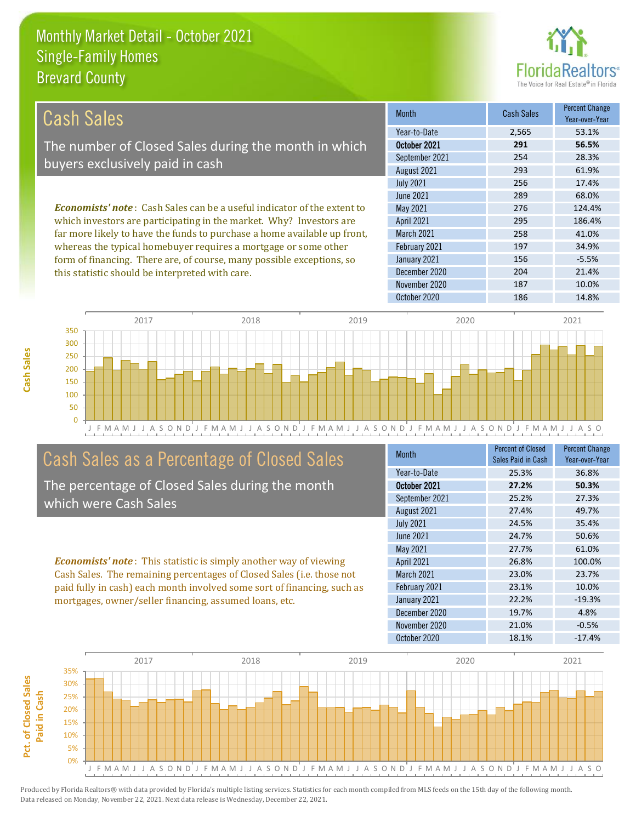this statistic should be interpreted with care.



204 21.4%

| Cash Sales                                                                     | <b>Month</b>      | <b>Cash Sales</b> | <b>Percent Change</b><br>Year-over-Year |
|--------------------------------------------------------------------------------|-------------------|-------------------|-----------------------------------------|
|                                                                                | Year-to-Date      | 2,565             | 53.1%                                   |
| The number of Closed Sales during the month in which                           | October 2021      | 291               | 56.5%                                   |
| buyers exclusively paid in cash                                                | September 2021    | 254               | 28.3%                                   |
|                                                                                | August 2021       | 293               | 61.9%                                   |
|                                                                                | <b>July 2021</b>  | 256               | 17.4%                                   |
|                                                                                | June 2021         | 289               | 68.0%                                   |
| <b>Economists' note:</b> Cash Sales can be a useful indicator of the extent to | May 2021          | 276               | 124.4%                                  |
| which investors are participating in the market. Why? Investors are            | <b>April 2021</b> | 295               | 186.4%                                  |
| far more likely to have the funds to purchase a home available up front,       | <b>March 2021</b> | 258               | 41.0%                                   |
| whereas the typical homebuyer requires a mortgage or some other                | February 2021     | 197               | 34.9%                                   |
| form of financing. There are, of course, many possible exceptions, so          | January 2021      | 156               | $-5.5%$                                 |

December 2020



# Cash Sales as a Percentage of Closed Sales

The percentage of Closed Sales during the month which were Cash Sales

*Economists' note* : This statistic is simply another way of viewing Cash Sales. The remaining percentages of Closed Sales (i.e. those not paid fully in cash) each month involved some sort of financing, such as mortgages, owner/seller financing, assumed loans, etc.

| <b>Month</b>      | <b>Percent of Closed</b><br>Sales Paid in Cash | <b>Percent Change</b><br>Year-over-Year |
|-------------------|------------------------------------------------|-----------------------------------------|
| Year-to-Date      | 25.3%                                          | 36.8%                                   |
| October 2021      | 27.2%                                          | 50.3%                                   |
| September 2021    | 25.2%                                          | 27.3%                                   |
| August 2021       | 27.4%                                          | 49.7%                                   |
| <b>July 2021</b>  | 24.5%                                          | 35.4%                                   |
| June 2021         | 24.7%                                          | 50.6%                                   |
| May 2021          | 27.7%                                          | 61.0%                                   |
| April 2021        | 26.8%                                          | 100.0%                                  |
| <b>March 2021</b> | 23.0%                                          | 23.7%                                   |
| February 2021     | 23.1%                                          | 10.0%                                   |
| January 2021      | 22.2%                                          | $-19.3%$                                |
| December 2020     | 19.7%                                          | 4.8%                                    |
| November 2020     | 21.0%                                          | $-0.5%$                                 |
| October 2020      | 18.1%                                          | $-17.4%$                                |

November 2020 187 10.0%

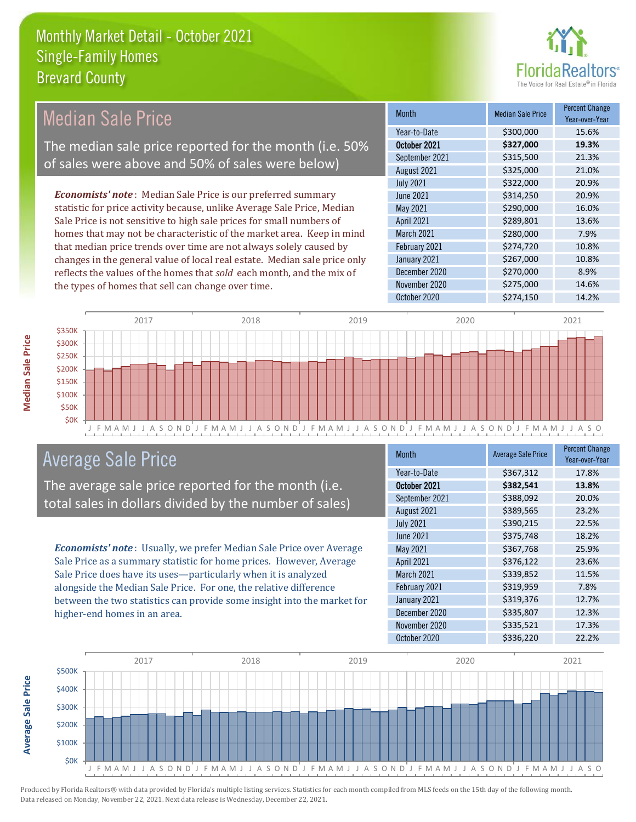

Year-over-Year

#### Month Median Sale Price Percent Change October 2021 **\$327,000 19.3%** Year-to-Date \$300,000 15.6% March 2021 \$280,000 7.9% September 2021 **\$315,500** 21.3% August 2021 **\$325,000** 21.0% May 2021 **5290,000** 5290,000 16.0% April 2021 \$289,801 13.6% July 2021 **\$322,000** \$302,000 20.9% June 2021 **\$314,250** \$314,250 February 2021 \$274,720 10.8% January 2021 **\$267,000** 10.8% December 2020 \$270,000 8.9% November 2020 \$275,000 14.6% *Economists' note* : Median Sale Price is our preferred summary statistic for price activity because, unlike Average Sale Price, Median Sale Price is not sensitive to high sale prices for small numbers of homes that may not be characteristic of the market area. Keep in mind that median price trends over time are not always solely caused by changes in the general value of local real estate. Median sale price only reflects the values of the homes that *sold* each month, and the mix of the types of homes that sell can change over time. Median Sale Price The median sale price reported for the month (i.e. 50% of sales were above and 50% of sales were below)



# Average Sale Price

The average sale price reported for the month (i.e. total sales in dollars divided by the number of sales)

*Economists' note* : Usually, we prefer Median Sale Price over Average Sale Price as a summary statistic for home prices. However, Average Sale Price does have its uses—particularly when it is analyzed alongside the Median Sale Price. For one, the relative difference between the two statistics can provide some insight into the market for higher-end homes in an area.

| Month             | <b>Average Sale Price</b> | <b>Percent Change</b><br>Year-over-Year |
|-------------------|---------------------------|-----------------------------------------|
| Year-to-Date      | \$367,312                 | 17.8%                                   |
| October 2021      | \$382,541                 | 13.8%                                   |
| September 2021    | \$388,092                 | 20.0%                                   |
| August 2021       | \$389,565                 | 23.2%                                   |
| <b>July 2021</b>  | \$390,215                 | 22.5%                                   |
| <b>June 2021</b>  | \$375,748                 | 18.2%                                   |
| May 2021          | \$367,768                 | 25.9%                                   |
| <b>April 2021</b> | \$376,122                 | 23.6%                                   |
| March 2021        | \$339,852                 | 11.5%                                   |
| February 2021     | \$319,959                 | 7.8%                                    |
| January 2021      | \$319,376                 | 12.7%                                   |
| December 2020     | \$335,807                 | 12.3%                                   |
| November 2020     | \$335,521                 | 17.3%                                   |
| October 2020      | \$336,220                 | 22.2%                                   |

October 2020 \$274,150 14.2%



**Median Sale Price** 

**Average Sale Price**

**Average Sale Price**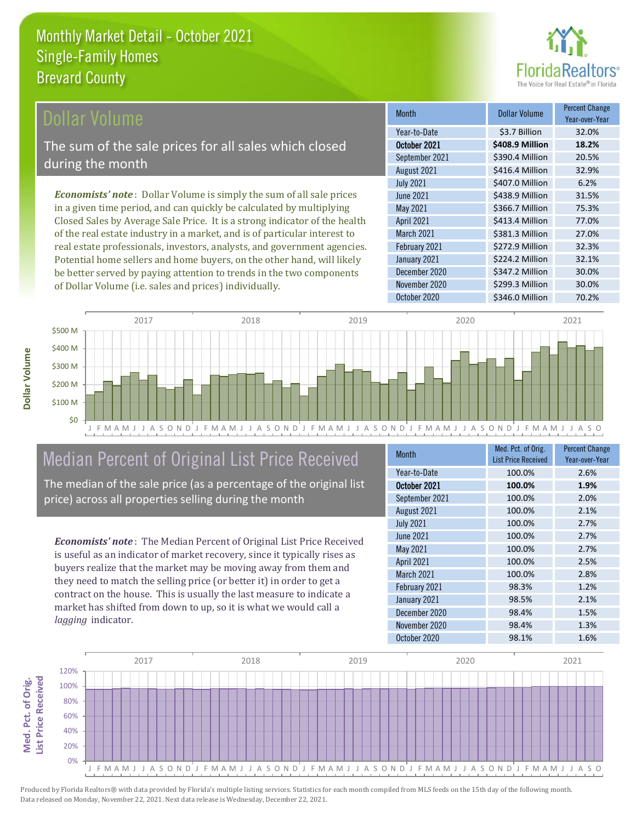

### ollar Volume

The sum of the sale prices for all sales which closed during the month

*Economists' note* : Dollar Volume is simply the sum of all sale prices in a given time period, and can quickly be calculated by multiplying Closed Sales by Average Sale Price. It is a strong indicator of the health of the real estate industry in a market, and is of particular interest to real estate professionals, investors, analysts, and government agencies. Potential home sellers and home buyers, on the other hand, will likely be better served by paying attention to trends in the two components of Dollar Volume (i.e. sales and prices) individually.

| Month             | Dollar Volume   | <b>Percent Change</b><br>Year-over-Year |
|-------------------|-----------------|-----------------------------------------|
| Year-to-Date      | \$3.7 Billion   | 32.0%                                   |
| October 2021      | \$408.9 Million | 18.2%                                   |
| September 2021    | \$390.4 Million | 20.5%                                   |
| August 2021       | \$416.4 Million | 32.9%                                   |
| <b>July 2021</b>  | \$407.0 Million | 6.2%                                    |
| June 2021         | \$438.9 Million | 31.5%                                   |
| May 2021          | \$366.7 Million | 75.3%                                   |
| <b>April 2021</b> | \$413.4 Million | 77.0%                                   |
| March 2021        | \$381.3 Million | 27.0%                                   |
| February 2021     | \$272.9 Million | 32.3%                                   |
| January 2021      | \$224.2 Million | 32.1%                                   |
| December 2020     | \$347.2 Million | 30.0%                                   |
| November 2020     | \$299.3 Million | 30.0%                                   |
| October 2020      | \$346.0 Million | 70.2%                                   |



# Median Percent of Original List Price Received

The median of the sale price (as a percentage of the original list price) across all properties selling during the month

*Economists' note* : The Median Percent of Original List Price Received is useful as an indicator of market recovery, since it typically rises as buyers realize that the market may be moving away from them and they need to match the selling price (or better it) in order to get a contract on the house. This is usually the last measure to indicate a market has shifted from down to up, so it is what we would call a *lagging* indicator.

| <b>Month</b>     | Med. Pct. of Orig.<br><b>List Price Received</b> | <b>Percent Change</b><br>Year-over-Year |
|------------------|--------------------------------------------------|-----------------------------------------|
| Year-to-Date     | 100.0%                                           | 2.6%                                    |
| October 2021     | 100.0%                                           | 1.9%                                    |
| September 2021   | 100.0%                                           | 2.0%                                    |
| August 2021      | 100.0%                                           | 2.1%                                    |
| <b>July 2021</b> | 100.0%                                           | 2.7%                                    |
| <b>June 2021</b> | 100.0%                                           | 2.7%                                    |
| May 2021         | 100.0%                                           | 2.7%                                    |
| April 2021       | 100.0%                                           | 2.5%                                    |
| March 2021       | 100.0%                                           | 2.8%                                    |
| February 2021    | 98.3%                                            | 1.2%                                    |
| January 2021     | 98.5%                                            | 2.1%                                    |
| December 2020    | 98.4%                                            | 1.5%                                    |
| November 2020    | 98.4%                                            | 1.3%                                    |
| October 2020     | 98.1%                                            | 1.6%                                    |



**Med. Pct. of Orig.** 

Med. Pct. of Orig.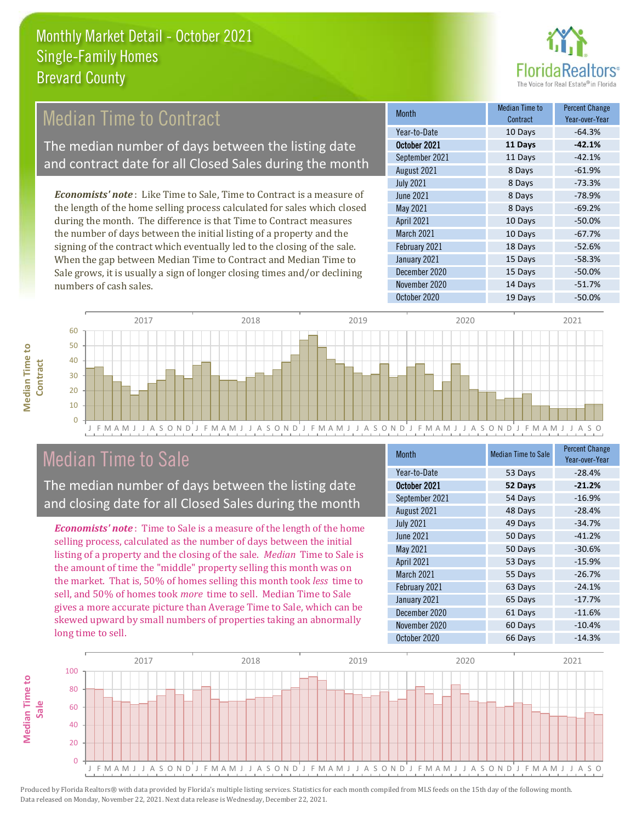

# Median Time to Contract

The median number of days between the listing date and contract date for all Closed Sales during the month

*Economists' note* : Like Time to Sale, Time to Contract is a measure of the length of the home selling process calculated for sales which closed during the month. The difference is that Time to Contract measures the number of days between the initial listing of a property and the signing of the contract which eventually led to the closing of the sale. When the gap between Median Time to Contract and Median Time to Sale grows, it is usually a sign of longer closing times and/or declining numbers of cash sales.

| <b>Month</b>     | Median Time to<br>Contract | <b>Percent Change</b><br>Year-over-Year |
|------------------|----------------------------|-----------------------------------------|
| Year-to-Date     | 10 Days                    | $-64.3%$                                |
| October 2021     | 11 Days                    | $-42.1%$                                |
| September 2021   | 11 Days                    | $-42.1%$                                |
| August 2021      | 8 Days                     | $-61.9%$                                |
| <b>July 2021</b> | 8 Days                     | $-73.3%$                                |
| <b>June 2021</b> | 8 Days                     | $-78.9%$                                |
| May 2021         | 8 Days                     | $-69.2%$                                |
| April 2021       | 10 Days                    | $-50.0%$                                |
| March 2021       | 10 Days                    | $-67.7%$                                |
| February 2021    | 18 Days                    | $-52.6%$                                |
| January 2021     | 15 Days                    | $-58.3%$                                |
| December 2020    | 15 Days                    | $-50.0%$                                |
| November 2020    | 14 Days                    | $-51.7%$                                |
| October 2020     | 19 Days                    | $-50.0%$                                |



# Median Time to Sale

**Median Time to** 

**Median Time to** 

The median number of days between the listing date and closing date for all Closed Sales during the month

*Economists' note* : Time to Sale is a measure of the length of the home selling process, calculated as the number of days between the initial listing of a property and the closing of the sale. *Median* Time to Sale is the amount of time the "middle" property selling this month was on the market. That is, 50% of homes selling this month took *less* time to sell, and 50% of homes took *more* time to sell. Median Time to Sale gives a more accurate picture than Average Time to Sale, which can be skewed upward by small numbers of properties taking an abnormally long time to sell.

| <b>Month</b>      | <b>Median Time to Sale</b> | <b>Percent Change</b><br>Year-over-Year |
|-------------------|----------------------------|-----------------------------------------|
| Year-to-Date      | 53 Days                    | $-28.4%$                                |
| October 2021      | 52 Days                    | $-21.2%$                                |
| September 2021    | 54 Days                    | $-16.9%$                                |
| August 2021       | 48 Days                    | $-28.4%$                                |
| <b>July 2021</b>  | 49 Days                    | $-34.7%$                                |
| June 2021         | 50 Days                    | $-41.2%$                                |
| May 2021          | 50 Days                    | $-30.6%$                                |
| <b>April 2021</b> | 53 Days                    | $-15.9%$                                |
| March 2021        | 55 Days                    | $-26.7%$                                |
| February 2021     | 63 Days                    | $-24.1%$                                |
| January 2021      | 65 Days                    | $-17.7%$                                |
| December 2020     | 61 Days                    | $-11.6%$                                |
| November 2020     | 60 Days                    | $-10.4%$                                |
| October 2020      | 66 Days                    | $-14.3%$                                |

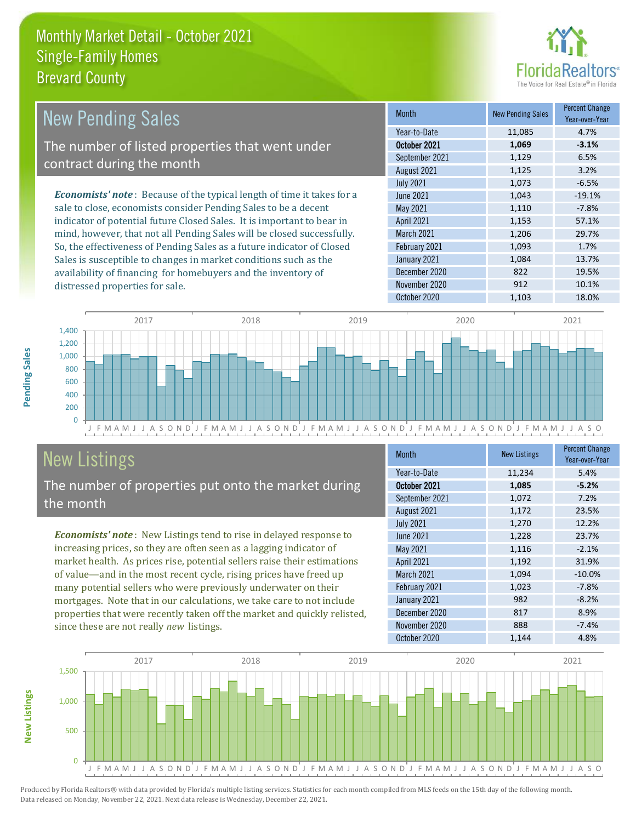

| <b>New Pending Sales</b>                                                      | <b>Month</b>      | <b>New Pending Sales</b> | <b>Percent Change</b><br>Year-over-Year |
|-------------------------------------------------------------------------------|-------------------|--------------------------|-----------------------------------------|
|                                                                               | Year-to-Date      | 11,085                   | 4.7%                                    |
| The number of listed properties that went under                               | October 2021      | 1,069                    | $-3.1%$                                 |
| contract during the month                                                     | September 2021    | 1,129                    | 6.5%                                    |
|                                                                               | August 2021       | 1,125                    | 3.2%                                    |
|                                                                               | <b>July 2021</b>  | 1,073                    | $-6.5%$                                 |
| <b>Economists' note:</b> Because of the typical length of time it takes for a | June 2021         | 1,043                    | $-19.1%$                                |
| sale to close, economists consider Pending Sales to be a decent               | May 2021          | 1,110                    | $-7.8%$                                 |
| indicator of potential future Closed Sales. It is important to bear in        | <b>April 2021</b> | 1,153                    | 57.1%                                   |
| mind, however, that not all Pending Sales will be closed successfully.        | <b>March 2021</b> | 1,206                    | 29.7%                                   |
| So, the effectiveness of Pending Sales as a future indicator of Closed        | February 2021     | 1,093                    | 1.7%                                    |
| Sales is susceptible to changes in market conditions such as the              | January 2021      | 1.084                    | 13.7%                                   |



# New Listings

distressed properties for sale.

The number of properties put onto the market during the month

availability of financing for homebuyers and the inventory of

*Economists' note* : New Listings tend to rise in delayed response to increasing prices, so they are often seen as a lagging indicator of market health. As prices rise, potential sellers raise their estimations of value—and in the most recent cycle, rising prices have freed up many potential sellers who were previously underwater on their mortgages. Note that in our calculations, we take care to not include properties that were recently taken off the market and quickly relisted, since these are not really *new* listings.

| Month            | <b>New Listings</b> | <b>Percent Change</b><br>Year-over-Year |
|------------------|---------------------|-----------------------------------------|
| Year-to-Date     | 11,234              | 5.4%                                    |
| October 2021     | 1,085               | $-5.2%$                                 |
| September 2021   | 1,072               | 7.2%                                    |
| August 2021      | 1,172               | 23.5%                                   |
| <b>July 2021</b> | 1,270               | 12.2%                                   |
| <b>June 2021</b> | 1,228               | 23.7%                                   |
| <b>May 2021</b>  | 1,116               | $-2.1%$                                 |
| April 2021       | 1,192               | 31.9%                                   |
| March 2021       | 1,094               | $-10.0%$                                |
| February 2021    | 1,023               | $-7.8%$                                 |
| January 2021     | 982                 | $-8.2%$                                 |
| December 2020    | 817                 | 8.9%                                    |
| November 2020    | 888                 | $-7.4%$                                 |
| October 2020     | 1,144               | 4.8%                                    |

December 2020 822 19.5% November 2020 912 912 10.1% October 2020 1,103 18.0%



**New Listings**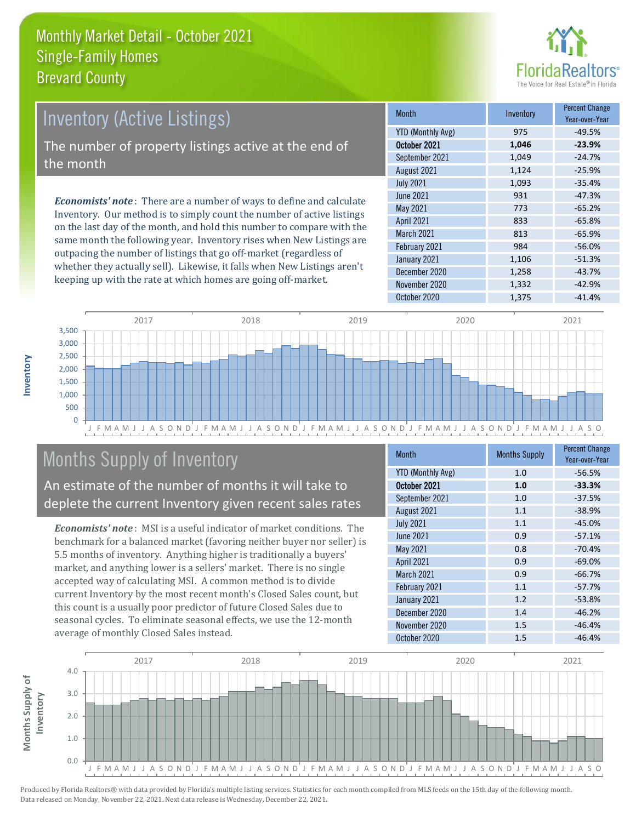

# *Economists' note* : There are a number of ways to define and calculate Inventory. Our method is to simply count the number of active listings Inventory (Active Listings) The number of property listings active at the end of the month

on the last day of the month, and hold this number to compare with the same month the following year. Inventory rises when New Listings are outpacing the number of listings that go off-market (regardless of whether they actually sell). Likewise, it falls when New Listings aren't keeping up with the rate at which homes are going off-market.

| <b>Month</b>             | Inventory | <b>Percent Change</b><br>Year-over-Year |
|--------------------------|-----------|-----------------------------------------|
| <b>YTD (Monthly Avg)</b> | 975       | $-49.5%$                                |
| October 2021             | 1,046     | $-23.9%$                                |
| September 2021           | 1,049     | $-24.7%$                                |
| August 2021              | 1,124     | $-25.9%$                                |
| <b>July 2021</b>         | 1,093     | $-35.4%$                                |
| <b>June 2021</b>         | 931       | $-47.3%$                                |
| May 2021                 | 773       | $-65.2%$                                |
| April 2021               | 833       | $-65.8%$                                |
| March 2021               | 813       | $-65.9%$                                |
| February 2021            | 984       | $-56.0%$                                |
| January 2021             | 1,106     | $-51.3%$                                |
| December 2020            | 1,258     | $-43.7%$                                |
| November 2020            | 1,332     | $-42.9%$                                |
| October 2020             | 1,375     | $-41.4%$                                |



# Months Supply of Inventory

An estimate of the number of months it will take to deplete the current Inventory given recent sales rates

*Economists' note* : MSI is a useful indicator of market conditions. The benchmark for a balanced market (favoring neither buyer nor seller) is 5.5 months of inventory. Anything higher is traditionally a buyers' market, and anything lower is a sellers' market. There is no single accepted way of calculating MSI. A common method is to divide current Inventory by the most recent month's Closed Sales count, but this count is a usually poor predictor of future Closed Sales due to seasonal cycles. To eliminate seasonal effects, we use the 12-month average of monthly Closed Sales instead.

| <b>Month</b>             | <b>Months Supply</b> | <b>Percent Change</b><br>Year-over-Year |
|--------------------------|----------------------|-----------------------------------------|
| <b>YTD (Monthly Avg)</b> | 1.0                  | $-56.5%$                                |
| October 2021             | 1.0                  | $-33.3%$                                |
| September 2021           | 1.0                  | $-37.5%$                                |
| August 2021              | 1.1                  | $-38.9%$                                |
| <b>July 2021</b>         | 1.1                  | $-45.0%$                                |
| June 2021                | 0.9                  | $-57.1%$                                |
| May 2021                 | 0.8                  | $-70.4%$                                |
| <b>April 2021</b>        | 0.9                  | $-69.0%$                                |
| March 2021               | 0.9                  | $-66.7%$                                |
| February 2021            | 1.1                  | $-57.7%$                                |
| January 2021             | 1.2                  | $-53.8%$                                |
| December 2020            | 1.4                  | $-46.2%$                                |
| November 2020            | 1.5                  | $-46.4%$                                |
| October 2020             | 1.5                  | $-46.4%$                                |

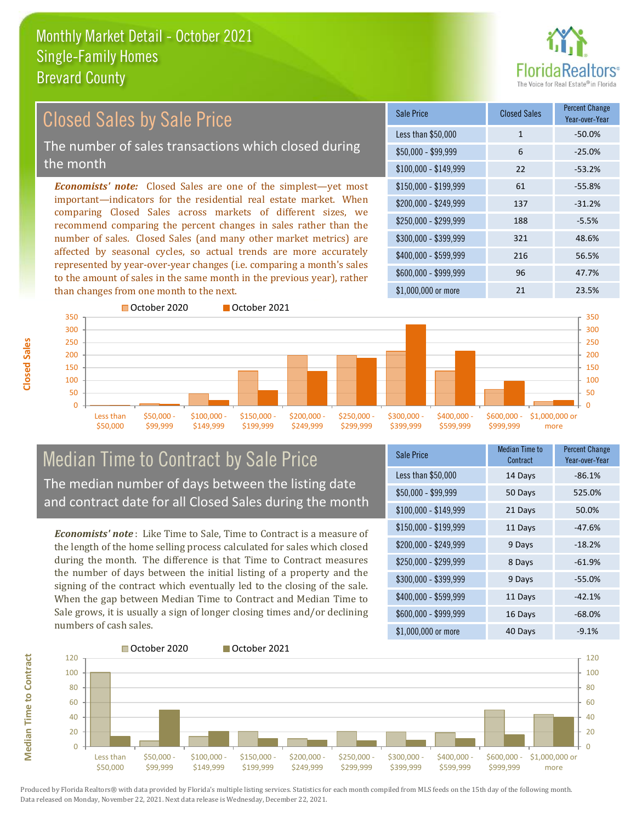

#### *Economists' note:* Closed Sales are one of the simplest—yet most important—indicators for the residential real estate market. When comparing Closed Sales across markets of different sizes, we recommend comparing the percent changes in sales rather than the number of sales. Closed Sales (and many other market metrics) are affected by seasonal cycles, so actual trends are more accurately represented by year-over-year changes (i.e. comparing a month's sales to the amount of sales in the same month in the previous year), rather than changes from one month to the next. \$1,000,000 or more 21 23.5% \$250,000 - \$299,999 188 -5.5% \$300,000 - \$399,999 321 48.6% \$400,000 - \$599,999 216 56.5% \$600,000 - \$999,999 96 47.7% \$150,000 - \$199,999 61 -55.8% \$200,000 - \$249,999 137 -31.2%  $$100,000 - $149,999$  22 -53.2% Sale Price Closed Sales Percent Change Year-over-Year Less than \$50,000 1 1 -50.0%  $$50.000 - $99.999$  6 -25.0% 200 250 300 350 October 2020 **October 2021** 200 250 300 350 Closed Sales by Sale Price The number of sales transactions which closed during the month

### Median Time to Contract by Sale Price The median number of days between the listing date and contract date for all Closed Sales during the month

\$100,000 \$149,999 \$150,000 - \$199,999

\$200,000 - \$249,999

\$250,000 - \$299,999

\$300,000 - \$399,999

\$400,000 - \$599,999

*Economists' note* : Like Time to Sale, Time to Contract is a measure of the length of the home selling process calculated for sales which closed during the month. The difference is that Time to Contract measures the number of days between the initial listing of a property and the signing of the contract which eventually led to the closing of the sale. When the gap between Median Time to Contract and Median Time to Sale grows, it is usually a sign of longer closing times and/or declining numbers of cash sales.

| Sale Price            | Median Time to<br>Contract | <b>Percent Change</b><br>Year-over-Year |
|-----------------------|----------------------------|-----------------------------------------|
| Less than \$50,000    | 14 Days                    | $-86.1%$                                |
| \$50,000 - \$99,999   | 50 Days                    | 525.0%                                  |
| $$100,000 - $149,999$ | 21 Days                    | 50.0%                                   |
| $$150,000 - $199,999$ | 11 Days                    | $-47.6%$                                |
| \$200,000 - \$249,999 | 9 Days                     | $-18.2%$                                |
| \$250,000 - \$299,999 | 8 Days                     | $-61.9%$                                |
| \$300,000 - \$399,999 | 9 Days                     | $-55.0%$                                |
| \$400,000 - \$599,999 | 11 Days                    | $-42.1%$                                |
| \$600,000 - \$999,999 | 16 Days                    | $-68.0%$                                |
| \$1,000,000 or more   | 40 Days                    | $-9.1%$                                 |

\$600,000 - \$999,999

\$1,000,000 or more



**Closed Sales**

Less than \$50,000

\$50,000 - \$99,999

**Median Time to Contract Median Time to Contract**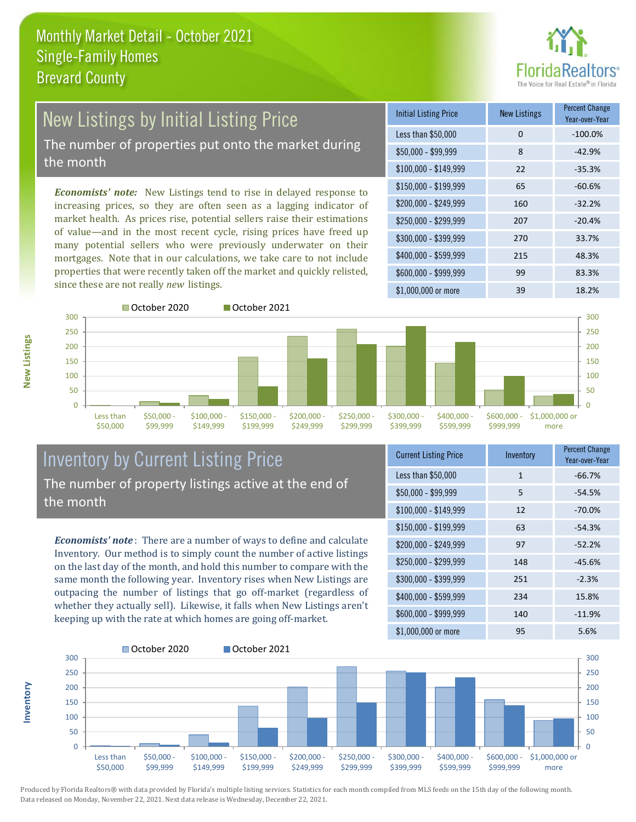

# New Listings by Initial Listing Price The number of properties put onto the market during

the month

*Economists' note:* New Listings tend to rise in delayed response to increasing prices, so they are often seen as a lagging indicator of market health. As prices rise, potential sellers raise their estimations of value—and in the most recent cycle, rising prices have freed up many potential sellers who were previously underwater on their mortgages. Note that in our calculations, we take care to not include properties that were recently taken off the market and quickly relisted, since these are not really *new* listings.

| <b>Initial Listing Price</b> | <b>New Listings</b> | <b>Percent Change</b><br>Year-over-Year |
|------------------------------|---------------------|-----------------------------------------|
| Less than \$50,000           | 0                   | $-100.0%$                               |
| $$50,000 - $99,999$          | 8                   | $-42.9%$                                |
| $$100,000 - $149,999$        | 22                  | $-35.3%$                                |
| $$150,000 - $199,999$        | 65                  | $-60.6%$                                |
| \$200,000 - \$249,999        | 160                 | $-32.2%$                                |
| \$250,000 - \$299,999        | 207                 | $-20.4%$                                |
| \$300,000 - \$399,999        | 270                 | 33.7%                                   |
| \$400,000 - \$599,999        | 215                 | 48.3%                                   |
| \$600,000 - \$999,999        | 99                  | 83.3%                                   |
| \$1,000,000 or more          | 39                  | 18.2%                                   |



**Inventory**



#### Inventory by Current Listing Price The number of property listings active at the end of the month

*Economists' note* : There are a number of ways to define and calculate Inventory. Our method is to simply count the number of active listings on the last day of the month, and hold this number to compare with the same month the following year. Inventory rises when New Listings are outpacing the number of listings that go off-market (regardless of whether they actually sell). Likewise, it falls when New Listings aren't keeping up with the rate at which homes are going off-market.

| <b>Current Listing Price</b> | Inventory | <b>Percent Change</b><br>Year-over-Year |
|------------------------------|-----------|-----------------------------------------|
| Less than \$50,000           | 1         | $-66.7%$                                |
| $$50,000 - $99,999$          | 5         | $-54.5%$                                |
| $$100,000 - $149,999$        | 12        | $-70.0%$                                |
| $$150,000 - $199,999$        | 63        | $-54.3%$                                |
| \$200,000 - \$249,999        | 97        | $-52.2%$                                |
| \$250,000 - \$299,999        | 148       | $-45.6%$                                |
| \$300,000 - \$399,999        | 251       | $-2.3%$                                 |
| \$400,000 - \$599,999        | 234       | 15.8%                                   |
| \$600,000 - \$999,999        | 140       | $-11.9%$                                |
| \$1,000,000 or more          | 95        | 5.6%                                    |